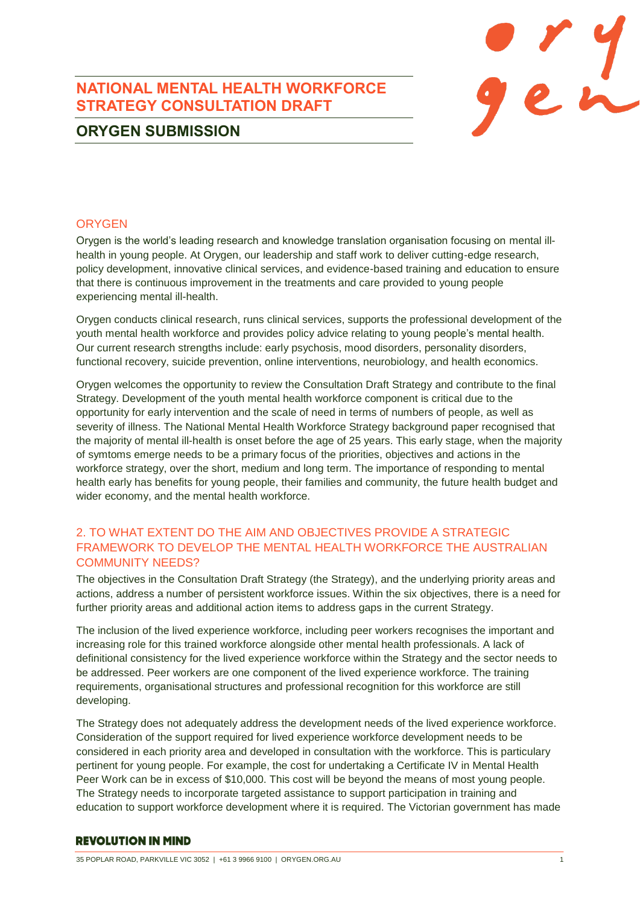# **NATIONAL MENTAL HEALTH WORKFORCE STRATEGY CONSULTATION DRAFT**



# **ORYGEN SUBMISSION**

## **ORYGEN**

Orygen is the world's leading research and knowledge translation organisation focusing on mental illhealth in young people. At Orygen, our leadership and staff work to deliver cutting-edge research, policy development, innovative clinical services, and evidence-based training and education to ensure that there is continuous improvement in the treatments and care provided to young people experiencing mental ill-health.

Orygen conducts clinical research, runs clinical services, supports the professional development of the youth mental health workforce and provides policy advice relating to young people's mental health. Our current research strengths include: early psychosis, mood disorders, personality disorders, functional recovery, suicide prevention, online interventions, neurobiology, and health economics.

Orygen welcomes the opportunity to review the Consultation Draft Strategy and contribute to the final Strategy. Development of the youth mental health workforce component is critical due to the opportunity for early intervention and the scale of need in terms of numbers of people, as well as severity of illness. The National Mental Health Workforce Strategy background paper recognised that the majority of mental ill-health is onset before the age of 25 years. This early stage, when the majority of symtoms emerge needs to be a primary focus of the priorities, objectives and actions in the workforce strategy, over the short, medium and long term. The importance of responding to mental health early has benefits for young people, their families and community, the future health budget and wider economy, and the mental health workforce.

## 2. TO WHAT EXTENT DO THE AIM AND OBJECTIVES PROVIDE A STRATEGIC FRAMEWORK TO DEVELOP THE MENTAL HEALTH WORKFORCE THE AUSTRALIAN COMMUNITY NEEDS?

The objectives in the Consultation Draft Strategy (the Strategy), and the underlying priority areas and actions, address a number of persistent workforce issues. Within the six objectives, there is a need for further priority areas and additional action items to address gaps in the current Strategy.

The inclusion of the lived experience workforce, including peer workers recognises the important and increasing role for this trained workforce alongside other mental health professionals. A lack of definitional consistency for the lived experience workforce within the Strategy and the sector needs to be addressed. Peer workers are one component of the lived experience workforce. The training requirements, organisational structures and professional recognition for this workforce are still developing.

The Strategy does not adequately address the development needs of the lived experience workforce. Consideration of the support required for lived experience workforce development needs to be considered in each priority area and developed in consultation with the workforce. This is particulary pertinent for young people. For example, the cost for undertaking a Certificate IV in Mental Health Peer Work can be in excess of \$10,000. This cost will be beyond the means of most young people. The Strategy needs to incorporate targeted assistance to support participation in training and education to support workforce development where it is required. The Victorian government has made

## **REVOLUTION IN MIND**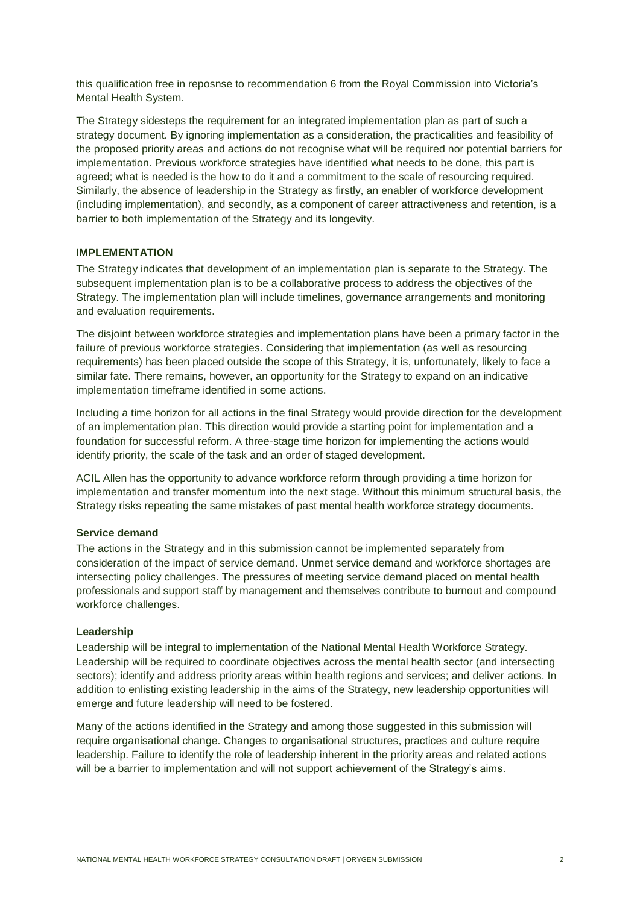this qualification free in reposnse to recommendation 6 from the Royal Commission into Victoria's Mental Health System.

The Strategy sidesteps the requirement for an integrated implementation plan as part of such a strategy document. By ignoring implementation as a consideration, the practicalities and feasibility of the proposed priority areas and actions do not recognise what will be required nor potential barriers for implementation. Previous workforce strategies have identified what needs to be done, this part is agreed; what is needed is the how to do it and a commitment to the scale of resourcing required. Similarly, the absence of leadership in the Strategy as firstly, an enabler of workforce development (including implementation), and secondly, as a component of career attractiveness and retention, is a barrier to both implementation of the Strategy and its longevity.

### **IMPLEMENTATION**

The Strategy indicates that development of an implementation plan is separate to the Strategy. The subsequent implementation plan is to be a collaborative process to address the objectives of the Strategy. The implementation plan will include timelines, governance arrangements and monitoring and evaluation requirements.

The disjoint between workforce strategies and implementation plans have been a primary factor in the failure of previous workforce strategies. Considering that implementation (as well as resourcing requirements) has been placed outside the scope of this Strategy, it is, unfortunately, likely to face a similar fate. There remains, however, an opportunity for the Strategy to expand on an indicative implementation timeframe identified in some actions.

Including a time horizon for all actions in the final Strategy would provide direction for the development of an implementation plan. This direction would provide a starting point for implementation and a foundation for successful reform. A three-stage time horizon for implementing the actions would identify priority, the scale of the task and an order of staged development.

ACIL Allen has the opportunity to advance workforce reform through providing a time horizon for implementation and transfer momentum into the next stage. Without this minimum structural basis, the Strategy risks repeating the same mistakes of past mental health workforce strategy documents.

### **Service demand**

The actions in the Strategy and in this submission cannot be implemented separately from consideration of the impact of service demand. Unmet service demand and workforce shortages are intersecting policy challenges. The pressures of meeting service demand placed on mental health professionals and support staff by management and themselves contribute to burnout and compound workforce challenges.

### **Leadership**

Leadership will be integral to implementation of the National Mental Health Workforce Strategy. Leadership will be required to coordinate objectives across the mental health sector (and intersecting sectors); identify and address priority areas within health regions and services; and deliver actions. In addition to enlisting existing leadership in the aims of the Strategy, new leadership opportunities will emerge and future leadership will need to be fostered.

Many of the actions identified in the Strategy and among those suggested in this submission will require organisational change. Changes to organisational structures, practices and culture require leadership. Failure to identify the role of leadership inherent in the priority areas and related actions will be a barrier to implementation and will not support achievement of the Strategy's aims.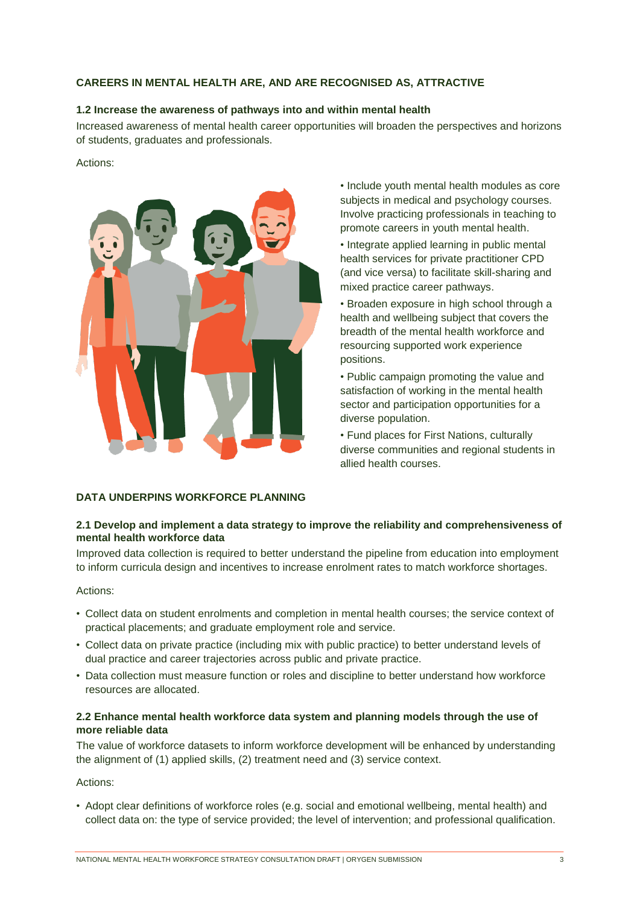## **CAREERS IN MENTAL HEALTH ARE, AND ARE RECOGNISED AS, ATTRACTIVE**

### **1.2 Increase the awareness of pathways into and within mental health**

Increased awareness of mental health career opportunities will broaden the perspectives and horizons of students, graduates and professionals.

### Actions:



• Include youth mental health modules as core subjects in medical and psychology courses. Involve practicing professionals in teaching to promote careers in youth mental health.

• Integrate applied learning in public mental health services for private practitioner CPD (and vice versa) to facilitate skill-sharing and mixed practice career pathways.

• Broaden exposure in high school through a health and wellbeing subject that covers the breadth of the mental health workforce and resourcing supported work experience positions.

• Public campaign promoting the value and satisfaction of working in the mental health sector and participation opportunities for a diverse population.

• Fund places for First Nations, culturally diverse communities and regional students in allied health courses.

### **DATA UNDERPINS WORKFORCE PLANNING**

## **2.1 Develop and implement a data strategy to improve the reliability and comprehensiveness of mental health workforce data**

Improved data collection is required to better understand the pipeline from education into employment to inform curricula design and incentives to increase enrolment rates to match workforce shortages.

## Actions:

- Collect data on student enrolments and completion in mental health courses; the service context of practical placements; and graduate employment role and service.
- Collect data on private practice (including mix with public practice) to better understand levels of dual practice and career trajectories across public and private practice.
- Data collection must measure function or roles and discipline to better understand how workforce resources are allocated.

### **2.2 Enhance mental health workforce data system and planning models through the use of more reliable data**

The value of workforce datasets to inform workforce development will be enhanced by understanding the alignment of (1) applied skills, (2) treatment need and (3) service context.

### Actions:

• Adopt clear definitions of workforce roles (e.g. social and emotional wellbeing, mental health) and collect data on: the type of service provided; the level of intervention; and professional qualification.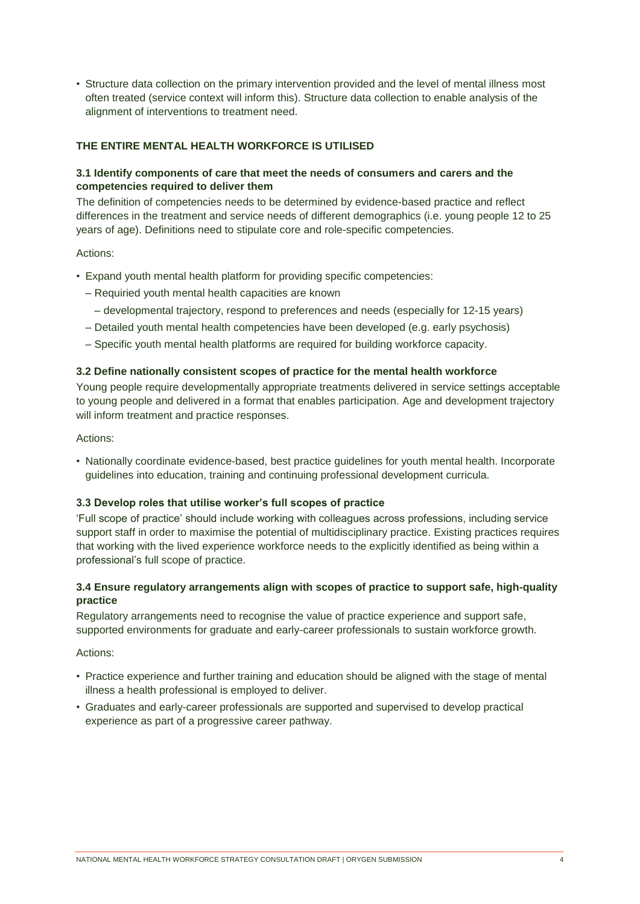• Structure data collection on the primary intervention provided and the level of mental illness most often treated (service context will inform this). Structure data collection to enable analysis of the alignment of interventions to treatment need.

## **THE ENTIRE MENTAL HEALTH WORKFORCE IS UTILISED**

## **3.1 Identify components of care that meet the needs of consumers and carers and the competencies required to deliver them**

The definition of competencies needs to be determined by evidence-based practice and reflect differences in the treatment and service needs of different demographics (i.e. young people 12 to 25 years of age). Definitions need to stipulate core and role-specific competencies.

### Actions:

- Expand youth mental health platform for providing specific competencies:
	- Requiried youth mental health capacities are known
		- developmental trajectory, respond to preferences and needs (especially for 12-15 years)
	- Detailed youth mental health competencies have been developed (e.g. early psychosis)
	- Specific youth mental health platforms are required for building workforce capacity.

### **3.2 Define nationally consistent scopes of practice for the mental health workforce**

Young people require developmentally appropriate treatments delivered in service settings acceptable to young people and delivered in a format that enables participation. Age and development trajectory will inform treatment and practice responses.

### Actions:

• Nationally coordinate evidence-based, best practice guidelines for youth mental health. Incorporate guidelines into education, training and continuing professional development curricula.

## **3.3 Develop roles that utilise worker's full scopes of practice**

'Full scope of practice' should include working with colleagues across professions, including service support staff in order to maximise the potential of multidisciplinary practice. Existing practices requires that working with the lived experience workforce needs to the explicitly identified as being within a professional's full scope of practice.

## **3.4 Ensure regulatory arrangements align with scopes of practice to support safe, high-quality practice**

Regulatory arrangements need to recognise the value of practice experience and support safe, supported environments for graduate and early-career professionals to sustain workforce growth.

### Actions:

- Practice experience and further training and education should be aligned with the stage of mental illness a health professional is employed to deliver.
- Graduates and early-career professionals are supported and supervised to develop practical experience as part of a progressive career pathway.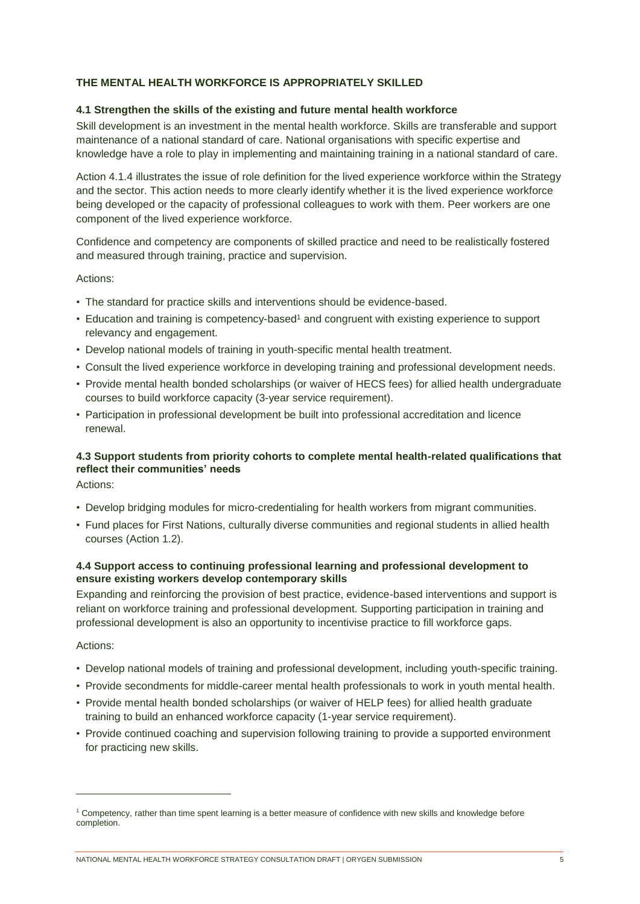## **THE MENTAL HEALTH WORKFORCE IS APPROPRIATELY SKILLED**

### **4.1 Strengthen the skills of the existing and future mental health workforce**

Skill development is an investment in the mental health workforce. Skills are transferable and support maintenance of a national standard of care. National organisations with specific expertise and knowledge have a role to play in implementing and maintaining training in a national standard of care.

Action 4.1.4 illustrates the issue of role definition for the lived experience workforce within the Strategy and the sector. This action needs to more clearly identify whether it is the lived experience workforce being developed or the capacity of professional colleagues to work with them. Peer workers are one component of the lived experience workforce.

Confidence and competency are components of skilled practice and need to be realistically fostered and measured through training, practice and supervision.

### Actions:

- The standard for practice skills and interventions should be evidence-based.
- Education and training is competency-based<sup>1</sup> and congruent with existing experience to support relevancy and engagement.
- Develop national models of training in youth-specific mental health treatment.
- Consult the lived experience workforce in developing training and professional development needs.
- Provide mental health bonded scholarships (or waiver of HECS fees) for allied health undergraduate courses to build workforce capacity (3-year service requirement).
- Participation in professional development be built into professional accreditation and licence renewal.

## **4.3 Support students from priority cohorts to complete mental health-related qualifications that reflect their communities' needs**

Actions:

- Develop bridging modules for micro-credentialing for health workers from migrant communities.
- Fund places for First Nations, culturally diverse communities and regional students in allied health courses (Action 1.2).

### **4.4 Support access to continuing professional learning and professional development to ensure existing workers develop contemporary skills**

Expanding and reinforcing the provision of best practice, evidence-based interventions and support is reliant on workforce training and professional development. Supporting participation in training and professional development is also an opportunity to incentivise practice to fill workforce gaps.

#### Actions:

l

- Develop national models of training and professional development, including youth-specific training.
- Provide secondments for middle-career mental health professionals to work in youth mental health.
- Provide mental health bonded scholarships (or waiver of HELP fees) for allied health graduate training to build an enhanced workforce capacity (1-year service requirement).
- Provide continued coaching and supervision following training to provide a supported environment for practicing new skills.

<sup>1</sup> Competency, rather than time spent learning is a better measure of confidence with new skills and knowledge before completion.

NATIONAL MENTAL HEALTH WORKFORCE STRATEGY CONSULTATION DRAFT | ORYGEN SUBMISSION 5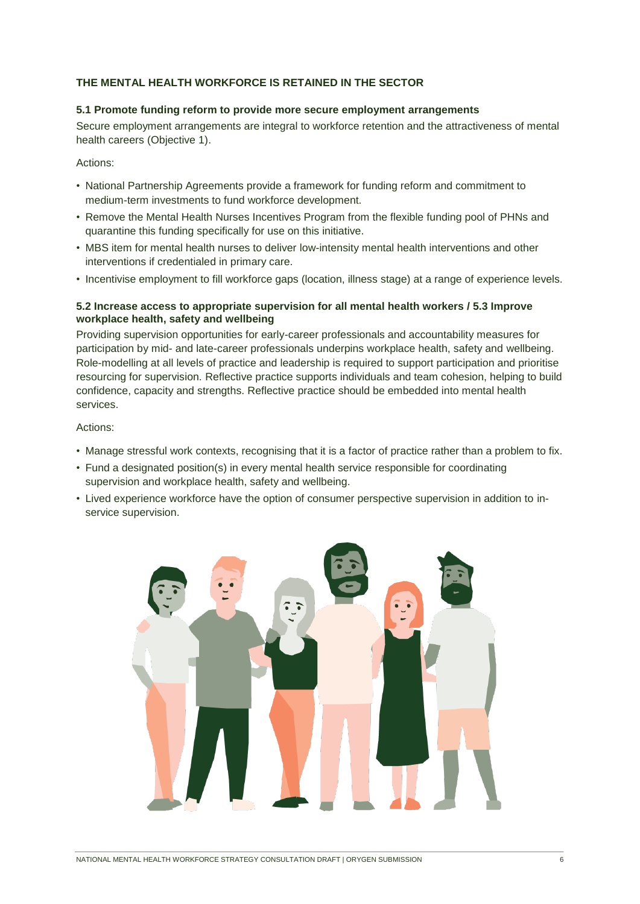### **THE MENTAL HEALTH WORKFORCE IS RETAINED IN THE SECTOR**

### **5.1 Promote funding reform to provide more secure employment arrangements**

Secure employment arrangements are integral to workforce retention and the attractiveness of mental health careers (Objective 1).

Actions:

- National Partnership Agreements provide a framework for funding reform and commitment to medium-term investments to fund workforce development.
- Remove the Mental Health Nurses Incentives Program from the flexible funding pool of PHNs and quarantine this funding specifically for use on this initiative.
- MBS item for mental health nurses to deliver low-intensity mental health interventions and other interventions if credentialed in primary care.
- Incentivise employment to fill workforce gaps (location, illness stage) at a range of experience levels.

## **5.2 Increase access to appropriate supervision for all mental health workers / 5.3 Improve workplace health, safety and wellbeing**

Providing supervision opportunities for early-career professionals and accountability measures for participation by mid- and late-career professionals underpins workplace health, safety and wellbeing. Role-modelling at all levels of practice and leadership is required to support participation and prioritise resourcing for supervision. Reflective practice supports individuals and team cohesion, helping to build confidence, capacity and strengths. Reflective practice should be embedded into mental health services.

### Actions:

- Manage stressful work contexts, recognising that it is a factor of practice rather than a problem to fix.
- Fund a designated position(s) in every mental health service responsible for coordinating supervision and workplace health, safety and wellbeing.
- Lived experience workforce have the option of consumer perspective supervision in addition to inservice supervision.

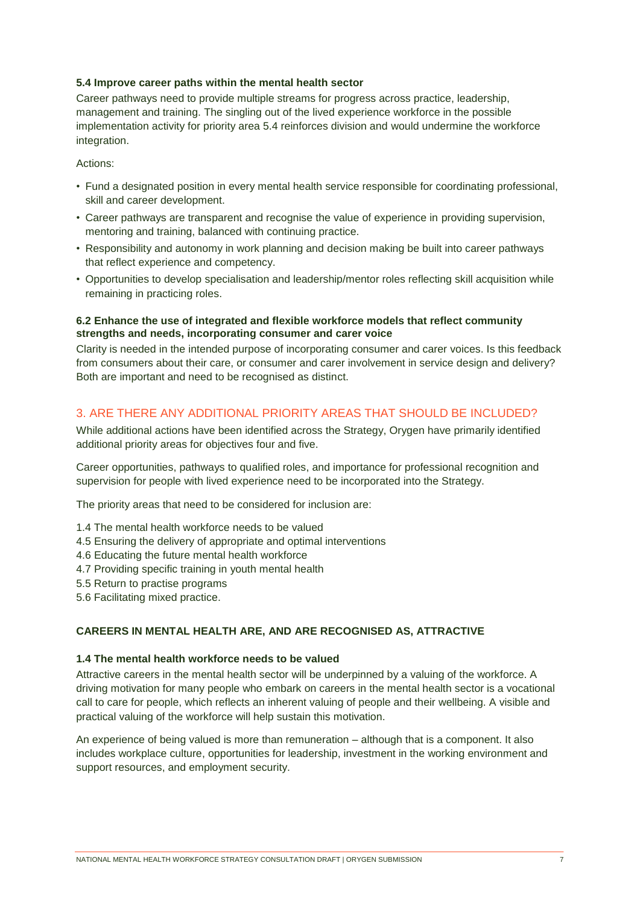## **5.4 Improve career paths within the mental health sector**

Career pathways need to provide multiple streams for progress across practice, leadership, management and training. The singling out of the lived experience workforce in the possible implementation activity for priority area 5.4 reinforces division and would undermine the workforce integration.

Actions:

- Fund a designated position in every mental health service responsible for coordinating professional, skill and career development.
- Career pathways are transparent and recognise the value of experience in providing supervision, mentoring and training, balanced with continuing practice.
- Responsibility and autonomy in work planning and decision making be built into career pathways that reflect experience and competency.
- Opportunities to develop specialisation and leadership/mentor roles reflecting skill acquisition while remaining in practicing roles.

## **6.2 Enhance the use of integrated and flexible workforce models that reflect community strengths and needs, incorporating consumer and carer voice**

Clarity is needed in the intended purpose of incorporating consumer and carer voices. Is this feedback from consumers about their care, or consumer and carer involvement in service design and delivery? Both are important and need to be recognised as distinct.

## 3. ARE THERE ANY ADDITIONAL PRIORITY AREAS THAT SHOULD BE INCLUDED?

While additional actions have been identified across the Strategy, Orygen have primarily identified additional priority areas for objectives four and five.

Career opportunities, pathways to qualified roles, and importance for professional recognition and supervision for people with lived experience need to be incorporated into the Strategy.

The priority areas that need to be considered for inclusion are:

- 1.4 The mental health workforce needs to be valued
- 4.5 Ensuring the delivery of appropriate and optimal interventions
- 4.6 Educating the future mental health workforce
- 4.7 Providing specific training in youth mental health
- 5.5 Return to practise programs
- 5.6 Facilitating mixed practice.

## **CAREERS IN MENTAL HEALTH ARE, AND ARE RECOGNISED AS, ATTRACTIVE**

## **1.4 The mental health workforce needs to be valued**

Attractive careers in the mental health sector will be underpinned by a valuing of the workforce. A driving motivation for many people who embark on careers in the mental health sector is a vocational call to care for people, which reflects an inherent valuing of people and their wellbeing. A visible and practical valuing of the workforce will help sustain this motivation.

An experience of being valued is more than remuneration – although that is a component. It also includes workplace culture, opportunities for leadership, investment in the working environment and support resources, and employment security.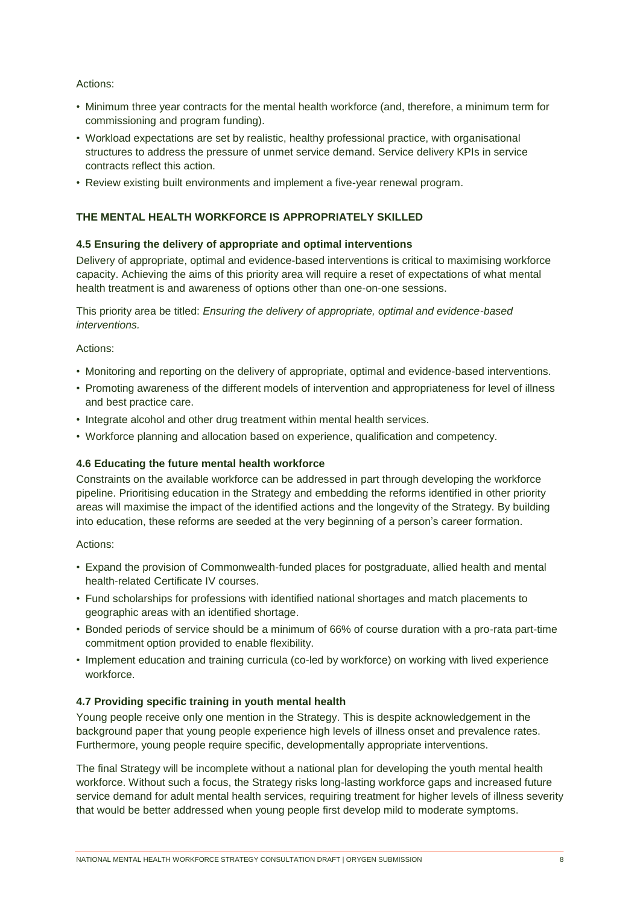## Actions:

- Minimum three year contracts for the mental health workforce (and, therefore, a minimum term for commissioning and program funding).
- Workload expectations are set by realistic, healthy professional practice, with organisational structures to address the pressure of unmet service demand. Service delivery KPIs in service contracts reflect this action.
- Review existing built environments and implement a five-year renewal program.

## **THE MENTAL HEALTH WORKFORCE IS APPROPRIATELY SKILLED**

## **4.5 Ensuring the delivery of appropriate and optimal interventions**

Delivery of appropriate, optimal and evidence-based interventions is critical to maximising workforce capacity. Achieving the aims of this priority area will require a reset of expectations of what mental health treatment is and awareness of options other than one-on-one sessions.

This priority area be titled: *Ensuring the delivery of appropriate, optimal and evidence-based interventions.*

## Actions:

- Monitoring and reporting on the delivery of appropriate, optimal and evidence-based interventions.
- Promoting awareness of the different models of intervention and appropriateness for level of illness and best practice care.
- Integrate alcohol and other drug treatment within mental health services.
- Workforce planning and allocation based on experience, qualification and competency.

## **4.6 Educating the future mental health workforce**

Constraints on the available workforce can be addressed in part through developing the workforce pipeline. Prioritising education in the Strategy and embedding the reforms identified in other priority areas will maximise the impact of the identified actions and the longevity of the Strategy. By building into education, these reforms are seeded at the very beginning of a person's career formation.

## Actions:

- Expand the provision of Commonwealth-funded places for postgraduate, allied health and mental health-related Certificate IV courses.
- Fund scholarships for professions with identified national shortages and match placements to geographic areas with an identified shortage.
- Bonded periods of service should be a minimum of 66% of course duration with a pro-rata part-time commitment option provided to enable flexibility.
- Implement education and training curricula (co-led by workforce) on working with lived experience workforce.

## **4.7 Providing specific training in youth mental health**

Young people receive only one mention in the Strategy. This is despite acknowledgement in the background paper that young people experience high levels of illness onset and prevalence rates. Furthermore, young people require specific, developmentally appropriate interventions.

The final Strategy will be incomplete without a national plan for developing the youth mental health workforce. Without such a focus, the Strategy risks long-lasting workforce gaps and increased future service demand for adult mental health services, requiring treatment for higher levels of illness severity that would be better addressed when young people first develop mild to moderate symptoms.